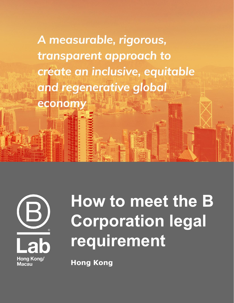A measurable, rigorous, transparent approach to create an inclusive, equitable and regenerative global



econom

# **How to meet the B Corporation legal requirement**

**Hong Kong**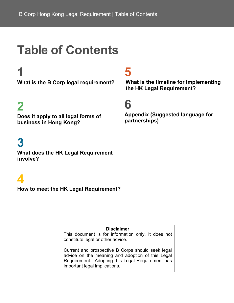### **Table of Contents**

**What is the B Corp legal requirement?**

### **2**

**Does it apply to all legal forms of business in Hong Kong?**

### **3**

**What does the HK Legal Requirement involve?**

### **4**

**How to meet the HK Legal Requirement?**

**Disclaimer**

This document is for information only. It does not constitute legal or other advice.

Current and prospective B Corps should seek legal advice on the meaning and adoption of this Legal Requirement. Adopting this Legal Requirement has important legal implications.

### **1 5**

**What is the timeline for implementing the HK Legal Requirement?**

### **6**

**Appendix (Suggested language for partnerships)**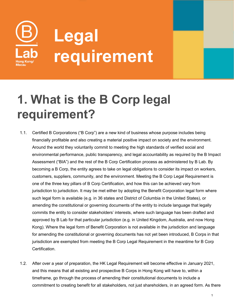

### **1. What is the B Corp legal requirement?**

- 1.1. Certified B Corporations ("B Corp") are a new kind of business whose purpose includes being financially profitable and also creating a material positive impact on society and the environment. Around the world they voluntarily commit to meeting the high standards of verified social and environmental performance, public transparency, and legal accountability as required by the B Impact Assessment ("BIA") and the rest of the B Corp Certification process as administered by B Lab. By becoming a B Corp, the entity agrees to take on legal obligations to consider its impact on workers, customers, suppliers, community, and the environment. Meeting the B Corp Legal Requirement is one of the three key pillars of B Corp Certification, and how this can be achieved vary from jurisdiction to jurisdiction. It may be met either by adopting the Benefit Corporation legal form where such legal form is available (e.g. in 36 states and District of Columbia in the United States), or amending the constitutional or governing documents of the entity to include language that legally commits the entity to consider stakeholders' interests, where such language has been drafted and approved by B Lab for that particular jurisdiction (e.g. in United Kingdom, Australia, and now Hong Kong). Where the legal form of Benefit Corporation is not available in the jurisdiction and language for amending the constitutional or governing documents has not yet been introduced, B Corps in that jurisdiction are exempted from meeting the B Corp Legal Requirement in the meantime for B Corp Certification.
- 1.2. After over a year of preparation, the HK Legal Requirement will become effective in January 2021, and this means that all existing and prospective B Corps in Hong Kong will have to, within a timeframe, go through the process of amending their constitutional documents to include a commitment to creating benefit for all stakeholders, not just shareholders, in an agreed form. As there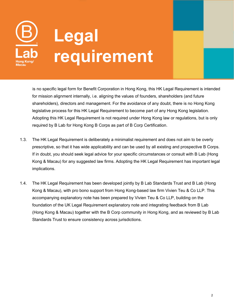

is no specific legal form for Benefit Corporation in Hong Kong, this HK Legal Requirement is intended for mission alignment internally, i.e. aligning the values of founders, shareholders (and future shareholders), directors and management. For the avoidance of any doubt, there is no Hong Kong legislative process for this HK Legal Requirement to become part of any Hong Kong legislation. Adopting this HK Legal Requirement is not required under Hong Kong law or regulations, but is only required by B Lab for Hong Kong B Corps as part of B Corp Certification.

- 1.3. The HK Legal Requirement is deliberately a minimalist requirement and does not aim to be overly prescriptive, so that it has wide applicability and can be used by allexisting and prospective B Corps. If in doubt, you should seek legal advice for your specific circumstances or consult with B Lab (Hong Kong & Macau) for any suggested law firms. Adopting the HK Legal Requirement has important legal implications.
- 1.4. The HK Legal Requirement has been developed jointly by B Lab Standards Trust and B Lab (Hong Kong & Macau), with pro bono support from Hong Kong-based law firm Vivien Teu & Co LLP. This accompanying explanatory note has been prepared by Vivien Teu & Co LLP, building on the foundation of the UK Legal Requirement explanatory note and integrating feedback from B Lab (Hong Kong & Macau) together with the B Corp community in Hong Kong, and as reviewed by B Lab Standards Trust to ensure consistency across jurisdictions.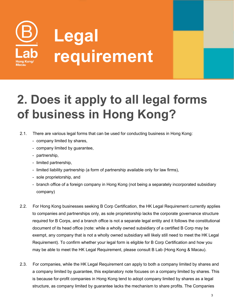

### **2. Does it apply to all legal forms of business in Hong Kong?**

- 2.1. There are various legal forms that can be used for conducting business in Hong Kong:
	- company limited by shares,
	- company limited by guarantee,
	- partnership,
	- limited partnership,
	- limited liability partnership (a form of partnership available only for law firms),
	- sole proprietorship, and
	- branch office of a foreign company in Hong Kong (not being a separately incorporated subsidiary company)
- 2.2. For Hong Kong businesses seeking B Corp Certification, the HK Legal Requirement currently applies to companies and partnerships only, as sole proprietorship lacks the corporate governance structure required for B Corps, and a branch office is not a separate legal entity and it follows the constitutional document of its head office (note: while a wholly owned subsidiary of a certified B Corp may be exempt, any company that is not a wholly owned subsidiary will likely still need to meet the HK Legal Requirement). To confirm whether your legal form is eligible for B Corp Certification and how you may be able to meet the HK Legal Requirement, please consult B Lab (Hong Kong & Macau).
- 2.3. For companies, while the HK Legal Requirement can apply to both a company limited by shares and a company limited by guarantee, this explanatory note focuses on a company limited by shares. This is because for-profit companies in Hong Kong tend to adopt company limited by shares as a legal structure, as company limited by guarantee lacks the mechanism to share profits. The Companies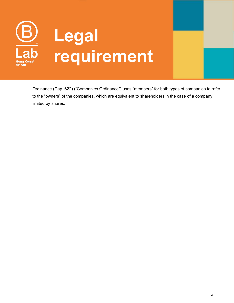

Ordinance (Cap. 622) ("Companies Ordinance") uses "members" for both types of companies to refer to the "owners" of the companies, which are equivalent to shareholders in the case of a company limited by shares.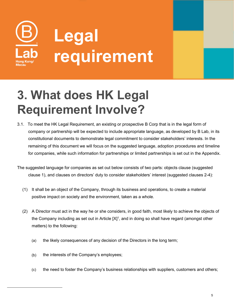

### **3. What does HK Legal Requirement Involve?**

3.1. To meet the HK Legal Requirement, an existing or prospective B Corp that is in the legal form of company or partnership will be expected to include appropriate language, as developed by B Lab, in its constitutional documents to demonstrate legal commitment to consider stakeholders' interests. In the remaining of this document we will focus on the suggested language, adoption procedures and timeline for companies, while such information for partnerships or limited partnerships is set out in the Appendix.

The suggested language for companies as set out below consists of two parts: objects clause (suggested clause 1), and clauses on directors' duty to consider stakeholders' interest (suggested clauses 2-4):

- (1) It shall be an object of the Company, through its business and operations, to create a material
- <span id="page-6-0"></span>positive impact on society and the environment, taken as a whole.<br>(2) A Director must act in the way he or she considers, in good faith, most likely to achieve the objects of the Company including as set out in Article [X] $^{\rm 1}$  $^{\rm 1}$  $^{\rm 1}$ , and in doing so shall have regard (amongst other matters) to the following:
	- (a) the likely consequences of any decision of the Directors in the long term;
	- (b) the interests of the Company's employees;
	- (c) the need to foster the Company's business relationships with suppliers, customers and others;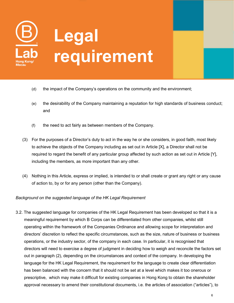

- (d) the impact of the Company's operations on the community and the environment;
- (e) the desirability of the Company maintaining a reputation for high standards of business conduct; and
- (f) the need to act fairly as between members of the Company.
- (3) For the purposes of a Director's duty to act in the way he or she considers, in good faith, most likely to achieve the objects of the Company including as set out in Article [X], a Director shall not be required to regard the benefit of any particular group affected by such action as set out in Article [Y], including the members, as more important than any other.
- (4) Nothing in this Article, express or implied, is intended to or shall create or grant any right or any cause of action to, by or for any person (other than the Company).

#### *Background on the suggested language of the HK Legal Requirement*

3.2. The suggested language for companies of the HK Legal Requirement has been developed so that it is a meaningful requirement by which B Corps can be differentiated from other companies, whilst still operating within the framework of the Companies Ordinance and allowing scope for interpretation and directors' discretion to reflect the specific circumstances, such as the size, nature of business or business operations, or the industry sector, of the company in each case. In particular, it is recognised that directors will need to exercise a degree of judgment in deciding how to weigh and reconcile the factors set out in paragraph (2), depending on the circumstances and context of the company. In developing the language for the HK Legal Requirement, the requirement for the language to create clear differentiation has been balanced with the concern that it should not be set at a level which makes it too onerous or prescriptive, which may make it difficult for existing companies in Hong Kong to obtain the shareholder approval necessary to amend their constitutional documents, i.e. the articles of association ("articles"), to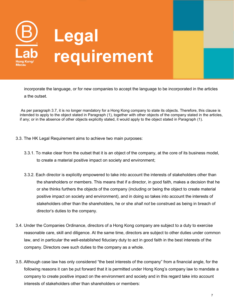

incorporate the language, or for new companies to accept the language to be incorporated in the articles a the outset.

As per paragraph 3.7, it is no longer mandatory for a Hong Kong company to state its objects. Therefore, this clause is intended to apply to the object stated in Paragraph (1), together with other objects of the company stated in the articles, if any; or in the absence of other objects explicitly stated, it would apply to the object stated in Paragraph (1).

- 3.3. The HK Legal Requirement aims to achieve two main purposes:
	- 3.3.1. To make clear from the outset that it is an object of the company, at the core of its business model, to create a material positive impact on society and environment;
	- 3.3.2. Each director is explicitly empowered to take into account the interests of stakeholders other than the shareholders or members. This means that if a director, in good faith, makes a decision that he or she thinks furthers the objects of the company (including or being the object to create material positive impact on society and environment), and in doing so takes into account the interests of stakeholders other than the shareholders, he or she *shall not* be construed as being in breach of director's duties to the company.
- 3.4. Under the Companies Ordinance, directors of a Hong Kong company are subject to a duty to exercise reasonable care, skill and diligence. At the same time, directors are subject to other duties under common law, and in particular the well-established fiduciary duty to act in good faith in the best interests of the company. Directors owe such duties to the company as a whole.
- 3.5. Although case law has only considered "the best interests of the company" from a financial angle, for the following reasons it can be put forward that it is permitted under Hong Kong's company law to mandate a company to create positive impact on the environment and society and in this regard take into account interests of stakeholders other than shareholders or members: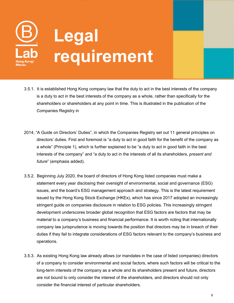

- 3.5.1. It is established Hong Kong company law that the duty to act in the best interests of the company is a duty to act in the best interests of the company as a whole, rather than specifically for the shareholders or shareholders at any point in time. This is illustrated in the publication of the Companies Registry in
- 2014, "A Guide on Directors' Duties", in which the Companies Registry set out 11 general principles on directors' duties. First and foremost is "a duty to act in good faith for the benefit of the company as a whole" (Principle 1), which is further explained to be "a duty to act in good faith in the best interests of the company" and "a duty to act in the interests of all its shareholders, *present and future*" (emphasis added).
- 3.5.2. Beginning July 2020, the board of directors of Hong Kong listed companies must make a statement every year disclosing their oversight of environmental, social and governance (ESG) issues, and the board's ESG management approach and strategy. This is the latest requirement issued by the Hong Kong Stock Exchange (HKEx), which has since 2017 adopted an increasingly stringent guide on companies disclosure in relation to ESG policies. This increasingly stringent development underscores broader global recognition that ESG factors are factors that may be material to a company's business and financial performance. It is worth noting that internationally company law jurisprudence is moving towards the position that directors may be in breach of their duties if they fail to integrate considerations of ESG factors relevant to the company's business and operations.
- 3.5.3. As existing Hong Kong law already allows (or mandates in the case of listed companies) directors of a company to consider environmental and social factors, where such factors will be critical to the long-term interests of the company as a whole and its shareholders present and future, directors are not bound to only consider the interest of the shareholders, and directors should not only consider the financial interest of particular shareholders.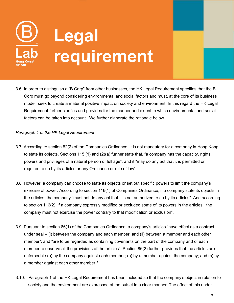

3.6. In order to distinguish a "B Corp" from other businesses, the HK Legal Requirement specifies that the B Corp must go beyond considering environmental and social factors and must, at the core of its business model, seek to create a material positive impact on society and environment. In this regard the HK Legal Requirement further clarifies and provides for the manner and extent to which environmental and social factors can be taken into account. We further elaborate the rationale below.

#### *Paragraph 1 of the HK Legal Requirement*

- 3.7. According to section 82(2) of the Companies Ordinance, it is not mandatory for a company in Hong Kong to state its objects. Sections 115 (1) and (2)(a) further state that, "a company has the capacity, rights, powers and privileges of a natural person of full age", and it "may do any act that it is permitted or required to do by its articles or any Ordinance or rule of law".
- 3.8. However, a company can choose to state its objects or set out specific powers to limit the company's exercise of power. According to section 116(1) of Companies Ordinance, if a company state its objects in the articles, the company "must not do any act that it is not authorized to do by its articles". And according to section 116(2), if a company expressly modified or excluded some of its powers in the articles,"the company must not exercise the power contrary to that modification or exclusion".
- 3.9. Pursuant to section 86(1) of the Companies Ordinance, a company's articles "have effect as a contract under seal– (i) between the company and each member; and (ii) between a member and each other member"; and "are to be regarded as containing covenants on the part of the company and of each member to observe all the provisions of the articles". Section 86(2) further provides that the articles are enforceable (a) by the company against each member; (b) by a member against the company; and (c) by a member against each other member."
- 3.10. Paragraph 1 of the HK Legal Requirement has been included so that the company's object in relation to society and the environment are expressed at the outset in a clear manner. The effect of this under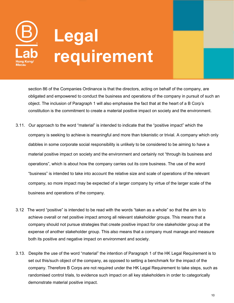

section 86 of the Companies Ordinance is that the directors, acting on behalf of the company, are obligated and empowered to conduct the business and operations of the company in pursuit of such an object. The inclusion of Paragraph 1 will also emphasise the fact that at the heart of a B Corp's constitution is the commitment to create a material positive impact on society and the environment.

- 3.11. Our approach to the word "material" is intended to indicate that the "positive impact" which the company is seeking to achieve is meaningful and more than tokenistic or trivial. A company which only dabbles in some corporate social responsibility is unlikely to be considered to be aiming to have a material positive impact on society and the environment and certainly not "through its business and operations", which is about how the company carries out its core business. The use of the word "business" is intended to take into account the relative size and scale of operations of the relevant company, so more impact may be expected of a larger company by virtue of the larger scale of the business and operations of the company.
- 3.12 The word "positive" is intended to be read with the words "taken as a whole" so that the aim is to achieve overall or net positive impact among all relevant stakeholder groups. This means that a company should not pursue strategies that create positive impact for one stakeholder group at the expense of another stakeholder group. This also means that a company must manage and measure both its positive and negative impact on environment and society.
- 3.13. Despite the use of the word "material" the intention of Paragraph 1 of the HK Legal Requirement is to set out this/such object of the company, as opposed to setting a benchmark for the impact of the company. Therefore B Corps are not required under the HK Legal Requirement to take steps, such as randomised control trials, to evidence such impact on all key stakeholders in order to categorically demonstrate material positive impact.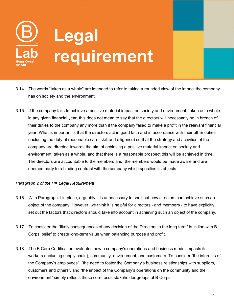

- 3.14. The words "taken as a whole" are intended to refer to taking a rounded view of the impact the company has on society and the environment.
- 3.15. If the company fails to achieve a positive material impact on society and environment, taken as a whole in any given financial year, this does not mean to say that the directors will necessarily be in breach of their duties to the company any more than if the company failed to make a profit in the relevant financial year. What is important is that the directors act in good faith and in accordance with their other duties (including the duty of reasonable care, skill and diligence) so that the strategy and activities of the company are directed towards the aim of achieving a positive material impact on society and environment, taken as a whole, and that there is a reasonable prospect this will be achieved in time. The directors are accountable to the members and, the members would be made aware and are deemed party to a binding contract with the company which specifies its objects.

#### *Paragraph 2 of the HK Legal Requirement*

- 3.16. With Paragraph 1 in place, arguably it is unnecessary to spell out how directors can achieve such an object of the company. However, we think it is helpful for directors - and members - to have explicitly set out the factors that directors should take into account in achieving such an object of the company.
- 3.17. To consider the "likely consequences of any decision of the Directors in the long term" is in line with B Corps' belief to create long-term value when balancing purpose and profit.
- 3.18. The B Corp Certification evaluates how a company's operations and business model impacts its workers (including supply chain), community, environment, and customers. To consider "the interests of the Company's employees", "the need to foster the Company's business relationships with suppliers, customers and others", and "the impact of the Company's operations on the community and the environment" simply reflects these core focus stakeholder groups of B Corps.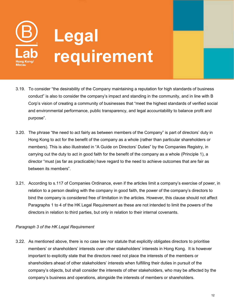

- 3.19. To consider "the desirability of the Company maintaining a reputation for high standards of business conduct" is also to consider the company's impact and standing in the community, and in line with B Corp's vision of creating a community of businesses that "meet the highest standards of verified social and environmental performance, public transparency, and legal accountability to balance profit and purpose".
- 3.20. The phrase "the need to act fairly as between members of the Company" is part of directors' duty in Hong Kong to act for the benefit of the company as a whole (rather than particular shareholders or members). This is also illustrated in "A Guide on Directors' Duties" by the Companies Registry, in carrying out the duty to act in good faith for the benefit of the company as a whole (Principle 1), a director "must (as far as practicable) have regard to the need to achieve outcomes that are fair as between its members".
- 3.21. According to s.117 of Companies Ordinance, even if the articles limit a company's exercise of power, in relation to a person dealing with the company in good faith, the power of the company's directors to bind the company is considered free of limitation in the articles. However, this clause should not affect Paragraphs 1 to 4 of the HK Legal Requirement as these are not intended to limit the powers of the directors in relation to third parties, but only in relation to their internal covenants.

#### *Paragraph 3 of the HK Legal Requirement*

3.22. As mentioned above, there is no case law nor statute that explicitly obligates directors to prioritise members' or shareholders' interests over other stakeholders' interests in Hong Kong. It is however important to explicitly state that the directors need not place the interests of the members or shareholders ahead of other stakeholders' interests when fulfilling their duties in pursuit of the company's objects, but shall consider the interests of other stakeholders, who may be affected by the company's business and operations, alongside the interests of members or shareholders.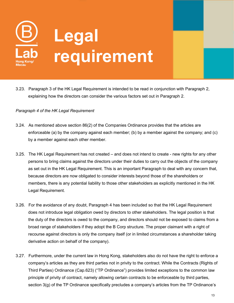

3.23. Paragraph 3 of the HK Legal Requirement is intended to be read in conjunction with Paragraph 2, explaining how the directors can consider the various factors set out in Paragraph 2.

#### *Paragraph 4 of the HK Legal Requirement*

- 3.24. As mentioned above section 86(2) of the Companies Ordinance provides that the articles are enforceable (a) by the company against each member; (b) by a member against the company; and (c) by a member against each other member.
- 3.25. The HK Legal Requirement has not created and does not intend to create new rights for any other persons to bring claims against the directors under their duties to carry out the objects of the company as set out in the HK Legal Requirement. This is an important Paragraph to deal with any concern that, because directors are now obligated to consider interests beyond those of the shareholders or members, there is any potential liability to those other stakeholders as explicitly mentioned in the HK Legal Requirement.
- 3.26. For the avoidance of any doubt, Paragraph 4 has been included so that the HK Legal Requirement does not introduce legal obligation owed by directors to other stakeholders. The legal position is that the duty of the directors is owed to the company, and directors should not be exposed to claims from a broad range of stakeholders if they adopt the B Corp structure. The proper claimant with a right of recourse against directors is only the company itself (or in limited circumstances a shareholder taking derivative action on behalf of the company).
- 3.27. Furthermore, under the current law in Hong Kong, stakeholders also do not have the right to enforce a company's articles as they are third parties not in privity to the contract. While the Contracts (Rights of Third Parties) Ordinance (Cap.623) ("TP Ordinance") provides limited exceptions to the common law principle of privity of contract, namely allowing certain contracts to be enforceable by third parties, section  $3(q)$  of the TP Ordinance specifically precludes a company's articles from the TP Ordinance's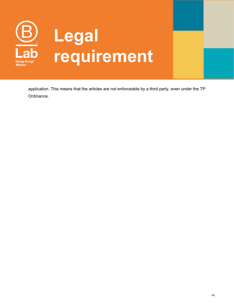

application. This means that the articles are not enforceable by a third party, even under the TP Ordinance.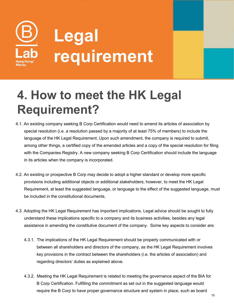

### **4. How to meet the HK Legal Requirement?**

- 4.1. An existing company seeking B Corp Certification would need to amend its articles of association by special resolution (i.e. a resolution passed by a majority of at least 75% of members) to include the language of the HK Legal Requirement. Upon such amendment, the company is required to submit, among other things, a certified copy of the amended articles and a copy of the special resolution for filing with the Companies Registry. A new company seeking B Corp Certification should include the language in its articles when the company is incorporated.
- 4.2. An existing or prospective B Corp may decide to adopt a higher standard or develop more specific provisions including additional objects or additional stakeholders; however, to meet the HK Legal Requirement, at least the suggested language, or language to the effect of the suggested language, must be included in the constitutional documents.
- 4.3. Adopting the HK Legal Requirement has important implications. Legal advice should be sought to fully understand these implications specific to a company and its business activities, besides any legal assistance in amending the constitutive document of the company. Some key aspects to consider are:
	- 4.3.1. The implications of the HK Legal Requirement should be properly communicated with or between all shareholders and directors of the company, as the HK Legal Requirement involves key provisions in the contract between the shareholders (i.e. the articles of association) and regarding directors' duties as explained above.
	- 4.3.2. Meeting the HK Legal Requirement is related to meeting the governance aspect of the BIA for B Corp Certification. Fulfilling the commitment as set out in the suggested language would require the B Corp to have proper governance structure and system in place, such as board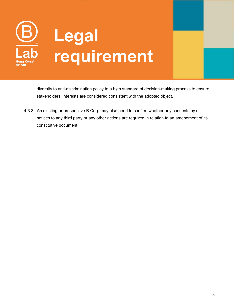

diversity to anti-discrimination policy to a high standard of decision-making process to ensure stakeholders' interests are considered consistent with the adopted object.

4.3.3. An existing or prospective B Corp may also need to confirm whether any consents by or notices to any third party or any other actions are required in relation to an amendment of its constitutive document.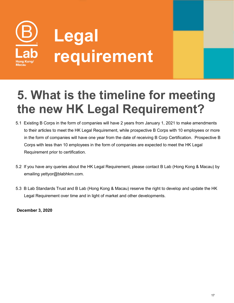

### **5. What is the timeline for meeting the new HK Legal Requirement?**

- 5.1 Existing B Corps in the form of companies will have 2 years from January 1, 2021 to make amendments to their articles to meet the HK Legal Requirement, while prospective B Corps with 10 employees or more in the form of companies will have one year from the date of receiving B Corp Certification. Prospective B Corps with less than 10 employees in the form of companies are expected to meet the HK Legal Requirement prior to certification.
- 5.2 If you have any queries about the HK Legal Requirement, please contact B Lab (Hong Kong & Macau) by emailing yettyor@blabhkm.com.
- 5.3 B Lab Standards Trust and B Lab (Hong Kong & Macau) reserve the right to develop and update the HK Legal Requirement over time and in light of market and other developments.

**December 3, 2020**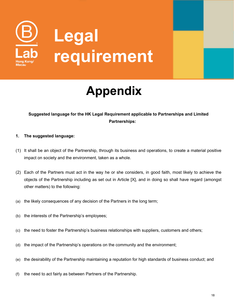

# **Legal requirement**

## **Appendix**

#### **Suggested language for the HK Legal Requirement applicable to Partnerships and Limited Partnerships:**

#### **1. The suggested language:**

- (1) It shall be an object of the Partnership, through its business and operations,to create a material positive
- impact on society and the environment, taken as a whole.<br>(2) Each of the Partners must act in the way he or she considers, in good faith, most likely to achieve the objects of the Partnership including as set out in Article [X], and in doing so shall have regard (amongst other matters) to the following:
- (a) the likely consequences of any decision of the Partners in the long term;
- (b) the interests of the Partnership's employees;
- (c) the need to foster the Partnership's business relationships with suppliers, customers and others;
- (d) the impact of the Partnership's operations on the community and the environment;
- (e) the desirability of the Partnership maintaining a reputation for high standards of business conduct; and
- (f) the need to act fairly as between Partners of the Partnership.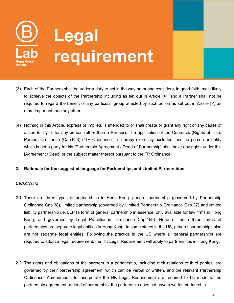

- (3) Each of the Partners shall be under a duty to act in the way he or she considers, in good faith, most likely to achieve the objects of the Partnership including as set out in Article [X], and a Partner shall not be required to regard the benefit of any particular group affected by such action as set out in Article [Y] as more important than any other.
- (4) Nothing in this Article, express or implied, is intended to or shall create or grant any right or any cause of action to, by or for any person (other than a Partner). The application of the Contracts (Rights of Third Parties) Ordinance (Cap.623) ("TP Ordinance") is hereby expressly excluded, and no person or entity which is not a party to this [Partnership Agreement / Deed of Partnership] shall have any rights under this [Agreement / Deed] or the subject matter thereof pursuant to the TP Ordinance.

#### **2. Rationale for the suggested language for Partnerships and Limited Partnerships**

#### *Background*

- 2.1 There are three types of partnerships in Hong Kong: general partnership (governed by Partnership Ordinance Cap.38), limited partnership (governed by Limited Partnership Ordinance Cap.37) and limited liability partnership i.e. LLP (a form of general partnership in essence, only available for law firms in Hong Kong, and governed by Legal Practitioners Ordinance Cap.159). None of these three forms of partnerships are separate legal entities in Hong Kong. In some states in the US, general partnerships also are not separate legal entities. Following the practice in the US where all general partnerships are required to adopt a legal requirement, the HK Legal Requirement will apply to partnerships in Hong Kong.
- 2.2 The rights and obligations of the partners in a partnership, including their relations to third parties, are governed by their partnership agreement, which can be verbal or written, and the relevant Partnership Ordinance. Amendments to incorporate the HK Legal Requirement are required to be made to the partnership agreement or deed of partnership. If a partnership does not have a written partnership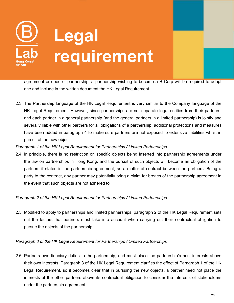

agreement or deed of partnership, a partnership wishing to become a B Corp will be required to adopt one and include in the written document the HK Legal Requirement.

2.3 The Partnership language of the HK Legal Requirement is very similar to the Company language of the HK Legal Requirement. However, since partnerships are not separate legal entities from their partners, and each partner in a general partnership (and the general partners in a limited partnership) is jointly and severally liable with other partners for all obligations of a partnership, additional protections and measures have been added in paragraph 4 to make sure partners are not exposed to extensive liabilities whilst in pursuit of the new object.

#### *Paragraph 1 of the HK Legal Requirement for Partnerships / Limited Partnerships*

2.4 In principle, there is no restriction on specific objects being inserted into partnership agreements under the law on partnerships in Hong Kong, and the pursuit of such objects will become an obligation of the partners if stated in the partnership agreement, as a matter of contract between the partners. Being a party to the contract, any partner may potentially bring a claim for breach of the partnership agreement in the event that such objects are not adhered to.

#### *Paragraph 2 of the HK Legal Requirement for Partnerships / Limited Partnerships*

2.5 Modified to apply to partnerships and limited partnerships, paragraph 2 of the HK Legal Requirement sets out the factors that partners must take into account when carrying out their contractual obligation to pursue the objects of the partnership.

#### *Paragraph 3 of the HK Legal Requirement for Partnerships / Limited Partnerships*

2.6 Partners owe fiduciary duties to the partnership, and must place the partnership's best interests above their own interests. Paragraph 3 of the HK Legal Requirement clarifies the effect of Paragraph 1 of the HK Legal Requirement, so it becomes clear that in pursuing the new objects, a partner need not place the interests of the other partners above its contractual obligation to consider the interests of stakeholders under the partnership agreement.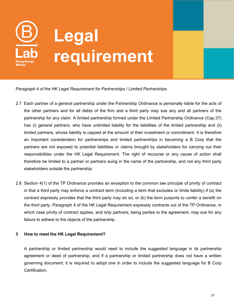

*Paragraph 4 of the HK Legal Requirement for Partnerships / Limited Partnerships*

- 2.7 Each partner of a general partnership under the Partnership Ordinance is personally liable for the acts of the other partners and for all debts of the firm and a third party may sue any and all partners of the partnership for any claim. A limited partnership formed under the Limited Partnership Ordinance (Cap.37) has (i) general partners, who have unlimited liability for the liabilities of the limited partnership and (ii) limited partners, whose liability is capped at the amount of their investment or commitment. It is therefore an important consideration for partnerships and limited partnerships in becoming a B Corp that the partners are not exposed to potential liabilities or claims brought by stakeholders for carrying out their responsibilities under the HK Legal Requirement. The right of recourse or any cause of action shall therefore be limited to a partner or partners suing in the name of the partnership, and not any third party stakeholders outside the partnership.
- 2.8 Section 4(1) of the TP Ordinance provides an exception to the common law principle of privity of contract in that a third party may enforce a contract term (including a term that excludes or limits liability) if (a) the contract expressly provides that the third party may do so; or (b) the term purports to confer a benefit on the third party. Paragraph 4 of the HK Legal Requirement expressly contracts out of the TP Ordinance, in which case privity of contract applies, and only partners, being parties to the agreement, may sue for any failure to adhere to the objects of the partnership.

#### **3 How to meet the HK Legal Requirement?**

A partnership or limited partnership would need to include the suggested language in its partnership agreement or deed of partnership, and if a partnership or limited partnership does not have a written governing document, it is required to adopt one in order to include the suggested language for B Corp Certification.